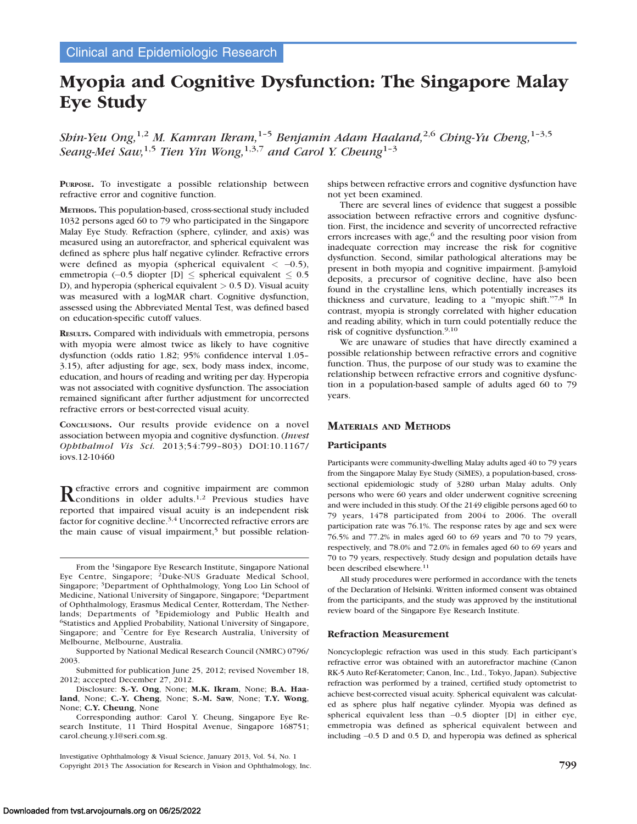# Myopia and Cognitive Dysfunction: The Singapore Malay Eye Study

Shin-Yeu Ong,<sup>1,2</sup> M. Kamran Ikram,<sup>1-5</sup> Benjamin Adam Haaland,<sup>2,6</sup> Ching-Yu Cheng,<sup>1-3,5</sup> Seang-Mei Saw,<sup>1,5</sup> Tien Yin Wong,<sup>1,3,7</sup> and Carol Y. Cheung<sup>1-3</sup>

PURPOSE. To investigate a possible relationship between refractive error and cognitive function.

METHODS. This population-based, cross-sectional study included 1032 persons aged 60 to 79 who participated in the Singapore Malay Eye Study. Refraction (sphere, cylinder, and axis) was measured using an autorefractor, and spherical equivalent was defined as sphere plus half negative cylinder. Refractive errors were defined as myopia (spherical equivalent  $<-0.5$ ), emmetropia (-0.5 diopter [D]  $\leq$  spherical equivalent  $\leq 0.5$ D), and hyperopia (spherical equivalent  $> 0.5$  D). Visual acuity was measured with a logMAR chart. Cognitive dysfunction, assessed using the Abbreviated Mental Test, was defined based on education-specific cutoff values.

RESULTS. Compared with individuals with emmetropia, persons with myopia were almost twice as likely to have cognitive dysfunction (odds ratio 1.82; 95% confidence interval 1.05– 3.15), after adjusting for age, sex, body mass index, income, education, and hours of reading and writing per day. Hyperopia was not associated with cognitive dysfunction. The association remained significant after further adjustment for uncorrected refractive errors or best-corrected visual acuity.

CONCLUSIONS. Our results provide evidence on a novel association between myopia and cognitive dysfunction. (Invest Ophthalmol Vis Sci. 2013;54:799–803) DOI:10.1167/ iovs.12-10460

Refractive errors and cognitive impairment are common Reonditions in older adults.<sup>1,2</sup> Previous studies have reported that impaired visual acuity is an independent risk factor for cognitive decline.<sup>3,4</sup> Uncorrected refractive errors are the main cause of visual impairment, $5$  but possible relation-

From the 1Singapore Eye Research Institute, Singapore National Eye Centre, Singapore; <sup>2</sup>Duke-NUS Graduate Medical School, Singapore; 3Department of Ophthalmology, Yong Loo Lin School of Medicine, National University of Singapore, Singapore; 4Department of Ophthalmology, Erasmus Medical Center, Rotterdam, The Netherlands; Departments of <sup>5</sup>Epidemiology and Public Health and <sup>6</sup>Statistics and Applied Probability, National University of Singapore, Singapore; and 7Centre for Eye Research Australia, University of Melbourne, Melbourne, Australia.

Supported by National Medical Research Council (NMRC) 0796/ 2003.

Submitted for publication June 25, 2012; revised November 18, 2012; accepted December 27, 2012.

Disclosure: S.-Y. Ong, None; M.K. Ikram, None; B.A. Haaland, None; C.-Y. Cheng, None; S.-M. Saw, None; T.Y. Wong, None; C.Y. Cheung, None

Corresponding author: Carol Y. Cheung, Singapore Eye Research Institute, 11 Third Hospital Avenue, Singapore 168751; carol.cheung.y.l@seri.com.sg.

Investigative Ophthalmology & Visual Science, January 2013, Vol. 54, No. 1 Copyright 2013 The Association for Research in Vision and Ophthalmology, Inc. 799

ships between refractive errors and cognitive dysfunction have not yet been examined.

There are several lines of evidence that suggest a possible association between refractive errors and cognitive dysfunction. First, the incidence and severity of uncorrected refractive errors increases with age, $6$  and the resulting poor vision from inadequate correction may increase the risk for cognitive dysfunction. Second, similar pathological alterations may be present in both myopia and cognitive impairment.  $\beta$ -amyloid deposits, a precursor of cognitive decline, have also been found in the crystalline lens, which potentially increases its thickness and curvature, leading to a ''myopic shift.''7,8 In contrast, myopia is strongly correlated with higher education and reading ability, which in turn could potentially reduce the risk of cognitive dysfunction.9,10

We are unaware of studies that have directly examined a possible relationship between refractive errors and cognitive function. Thus, the purpose of our study was to examine the relationship between refractive errors and cognitive dysfunction in a population-based sample of adults aged 60 to 79 years.

# MATERIALS AND METHODS

# Participants

Participants were community-dwelling Malay adults aged 40 to 79 years from the Singapore Malay Eye Study (SiMES), a population-based, crosssectional epidemiologic study of 3280 urban Malay adults. Only persons who were 60 years and older underwent cognitive screening and were included in this study. Of the 2149 eligible persons aged 60 to 79 years, 1478 participated from 2004 to 2006. The overall participation rate was 76.1%. The response rates by age and sex were 76.5% and 77.2% in males aged 60 to 69 years and 70 to 79 years, respectively, and 78.0% and 72.0% in females aged 60 to 69 years and 70 to 79 years, respectively. Study design and population details have been described elsewhere.<sup>11</sup>

All study procedures were performed in accordance with the tenets of the Declaration of Helsinki. Written informed consent was obtained from the participants, and the study was approved by the institutional review board of the Singapore Eye Research Institute.

### Refraction Measurement

Noncycloplegic refraction was used in this study. Each participant's refractive error was obtained with an autorefractor machine (Canon RK-5 Auto Ref-Keratometer; Canon, Inc., Ltd., Tokyo, Japan). Subjective refraction was performed by a trained, certified study optometrist to achieve best-corrected visual acuity. Spherical equivalent was calculated as sphere plus half negative cylinder. Myopia was defined as spherical equivalent less than -0.5 diopter [D] in either eye, emmetropia was defined as spherical equivalent between and including -0.5 D and 0.5 D, and hyperopia was defined as spherical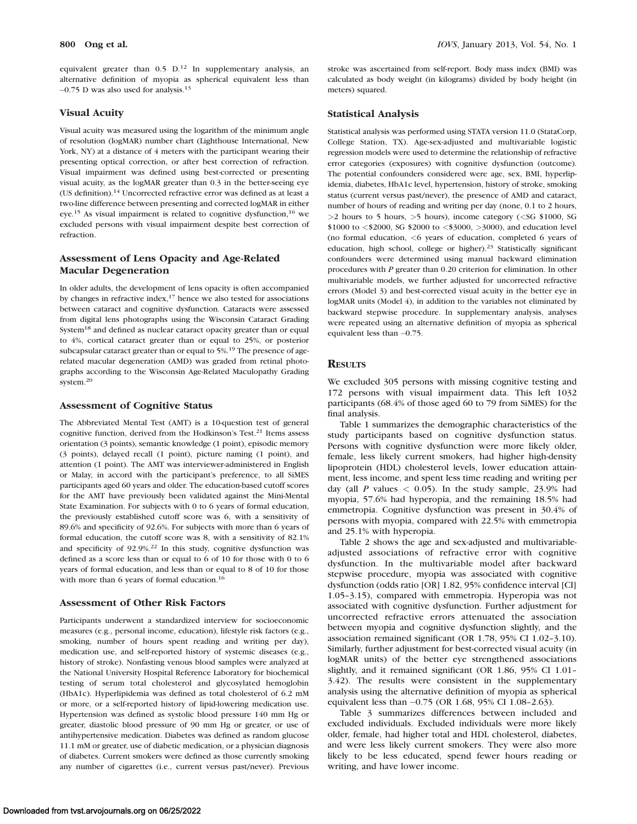800 Ong et al. Iows, January 2013, Vol. 54, No. 1

equivalent greater than  $0.5$  D.<sup>12</sup> In supplementary analysis, an alternative definition of myopia as spherical equivalent less than -0.75 D was also used for analysis.<sup>13</sup>

## Visual Acuity

Visual acuity was measured using the logarithm of the minimum angle of resolution (logMAR) number chart (Lighthouse International, New York, NY) at a distance of 4 meters with the participant wearing their presenting optical correction, or after best correction of refraction. Visual impairment was defined using best-corrected or presenting visual acuity, as the logMAR greater than 0.3 in the better-seeing eye (US definition).<sup>14</sup> Uncorrected refractive error was defined as at least a two-line difference between presenting and corrected logMAR in either eye.<sup>15</sup> As visual impairment is related to cognitive dysfunction,<sup>16</sup> we excluded persons with visual impairment despite best correction of refraction.

# Assessment of Lens Opacity and Age-Related Macular Degeneration

In older adults, the development of lens opacity is often accompanied by changes in refractive index,17 hence we also tested for associations between cataract and cognitive dysfunction. Cataracts were assessed from digital lens photographs using the Wisconsin Cataract Grading System<sup>18</sup> and defined as nuclear cataract opacity greater than or equal to 4%, cortical cataract greater than or equal to 25%, or posterior subcapsular cataract greater than or equal to 5%.<sup>19</sup> The presence of agerelated macular degeneration (AMD) was graded from retinal photographs according to the Wisconsin Age-Related Maculopathy Grading system.20

## Assessment of Cognitive Status

The Abbreviated Mental Test (AMT) is a 10-question test of general cognitive function, derived from the Hodkinson's Test.<sup>21</sup> Items assess orientation (3 points), semantic knowledge (1 point), episodic memory (3 points), delayed recall (1 point), picture naming (1 point), and attention (1 point). The AMT was interviewer-administered in English or Malay, in accord with the participant's preference, to all SiMES participants aged 60 years and older. The education-based cutoff scores for the AMT have previously been validated against the Mini-Mental State Examination. For subjects with 0 to 6 years of formal education, the previously established cutoff score was 6, with a sensitivity of 89.6% and specificity of 92.6%. For subjects with more than 6 years of formal education, the cutoff score was 8, with a sensitivity of 82.1% and specificity of 92.9%.22 In this study, cognitive dysfunction was defined as a score less than or equal to 6 of 10 for those with 0 to 6 years of formal education, and less than or equal to 8 of 10 for those with more than 6 years of formal education.<sup>16</sup>

#### Assessment of Other Risk Factors

Participants underwent a standardized interview for socioeconomic measures (e.g., personal income, education), lifestyle risk factors (e.g., smoking, number of hours spent reading and writing per day), medication use, and self-reported history of systemic diseases (e.g., history of stroke). Nonfasting venous blood samples were analyzed at the National University Hospital Reference Laboratory for biochemical testing of serum total cholesterol and glycosylated hemoglobin (HbA1c). Hyperlipidemia was defined as total cholesterol of 6.2 mM or more, or a self-reported history of lipid-lowering medication use. Hypertension was defined as systolic blood pressure 140 mm Hg or greater, diastolic blood pressure of 90 mm Hg or greater, or use of antihypertensive medication. Diabetes was defined as random glucose 11.1 mM or greater, use of diabetic medication, or a physician diagnosis of diabetes. Current smokers were defined as those currently smoking any number of cigarettes (i.e., current versus past/never). Previous

stroke was ascertained from self-report. Body mass index (BMI) was calculated as body weight (in kilograms) divided by body height (in meters) squared.

## Statistical Analysis

Statistical analysis was performed using STATA version 11.0 (StataCorp, College Station, TX). Age-sex-adjusted and multivariable logistic regression models were used to determine the relationship of refractive error categories (exposures) with cognitive dysfunction (outcome). The potential confounders considered were age, sex, BMI, hyperlipidemia, diabetes, HbA1c level, hypertension, history of stroke, smoking status (current versus past/never), the presence of AMD and cataract, number of hours of reading and writing per day (none, 0.1 to 2 hours, >2 hours to 5 hours, >5 hours), income category (<SG \$1000, SG \$1000 to <\$2000, SG \$2000 to <\$3000, >3000), and education level (no formal education, <6 years of education, completed 6 years of education, high school, college or higher).<sup>23</sup> Statistically significant confounders were determined using manual backward elimination procedures with P greater than 0.20 criterion for elimination. In other multivariable models, we further adjusted for uncorrected refractive errors (Model 3) and best-corrected visual acuity in the better eye in logMAR units (Model 4), in addition to the variables not eliminated by backward stepwise procedure. In supplementary analysis, analyses were repeated using an alternative definition of myopia as spherical equivalent less than  $-0.75$ .

## **RESULTS**

We excluded 305 persons with missing cognitive testing and 172 persons with visual impairment data. This left 1032 participants (68.4% of those aged 60 to 79 from SiMES) for the final analysis.

Table 1 summarizes the demographic characteristics of the study participants based on cognitive dysfunction status. Persons with cognitive dysfunction were more likely older, female, less likely current smokers, had higher high-density lipoprotein (HDL) cholesterol levels, lower education attainment, less income, and spent less time reading and writing per day (all P values  $\langle 0.05 \rangle$ ). In the study sample, 23.9% had myopia, 57.6% had hyperopia, and the remaining 18.5% had emmetropia. Cognitive dysfunction was present in 30.4% of persons with myopia, compared with 22.5% with emmetropia and 25.1% with hyperopia.

Table 2 shows the age and sex-adjusted and multivariableadjusted associations of refractive error with cognitive dysfunction. In the multivariable model after backward stepwise procedure, myopia was associated with cognitive dysfunction (odds ratio [OR] 1.82, 95% confidence interval [CI] 1.05–3.15), compared with emmetropia. Hyperopia was not associated with cognitive dysfunction. Further adjustment for uncorrected refractive errors attenuated the association between myopia and cognitive dysfunction slightly, and the association remained significant (OR 1.78, 95% CI 1.02–3.10). Similarly, further adjustment for best-corrected visual acuity (in logMAR units) of the better eye strengthened associations slightly, and it remained significant (OR 1.86, 95% CI 1.01– 3.42). The results were consistent in the supplementary analysis using the alternative definition of myopia as spherical equivalent less than -0.75 (OR 1.68, 95% CI 1.08–2.63).

Table 3 summarizes differences between included and excluded individuals. Excluded individuals were more likely older, female, had higher total and HDL cholesterol, diabetes, and were less likely current smokers. They were also more likely to be less educated, spend fewer hours reading or writing, and have lower income.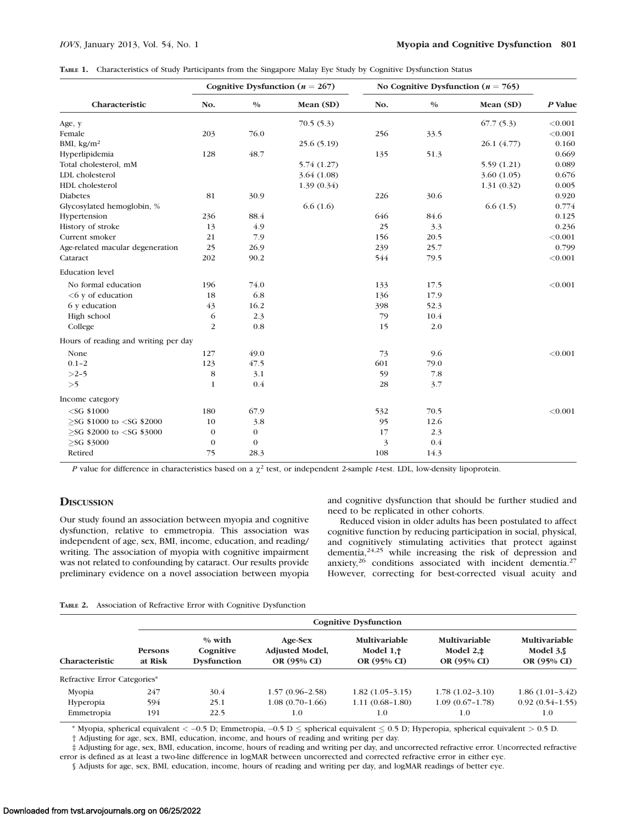|  |  |  |  |  | TABLE 1. Characteristics of Study Participants from the Singapore Malay Eye Study by Cognitive Dysfunction Status |
|--|--|--|--|--|-------------------------------------------------------------------------------------------------------------------|
|--|--|--|--|--|-------------------------------------------------------------------------------------------------------------------|

|                                                                                                                                                           | Cognitive Dysfunction ( $n = 267$ ) |          |            | No Cognitive Dysfunction ( $n = 765$ ) |               |             |         |
|-----------------------------------------------------------------------------------------------------------------------------------------------------------|-------------------------------------|----------|------------|----------------------------------------|---------------|-------------|---------|
| Characteristic                                                                                                                                            | No.                                 | $0/0$    | Mean (SD)  | No.                                    | $\frac{0}{0}$ | Mean (SD)   | P Value |
| Age, y                                                                                                                                                    |                                     |          | 70.5(5.3)  |                                        |               | 67.7(5.3)   | < 0.001 |
| Female                                                                                                                                                    | 203                                 | 76.0     |            | 256                                    | 33.5          |             | < 0.001 |
| BMI, $\text{kg/m}^2$                                                                                                                                      |                                     |          | 25.6(5.19) |                                        |               | 26.1 (4.77) | 0.160   |
| Hyperlipidemia                                                                                                                                            | 128                                 | 48.7     |            | 135                                    | 51.3          |             | 0.669   |
| Total cholesterol, mM                                                                                                                                     |                                     |          | 5.74(1.27) |                                        |               | 5.59(1.21)  | 0.089   |
| LDL cholesterol                                                                                                                                           |                                     |          | 3.64(1.08) |                                        |               | 3.60(1.05)  | 0.676   |
| HDL cholesterol                                                                                                                                           |                                     |          | 1.39(0.34) |                                        |               | 1.31(0.32)  | 0.005   |
| <b>Diabetes</b>                                                                                                                                           | 81                                  | 30.9     |            | 226                                    | 30.6          |             | 0.920   |
| Glycosylated hemoglobin, %                                                                                                                                |                                     |          | 6.6(1.6)   |                                        |               | 6.6(1.5)    | 0.774   |
| Hypertension                                                                                                                                              | 236                                 | 88.4     |            | 646                                    | 84.6          |             | 0.125   |
| History of stroke                                                                                                                                         | 13                                  | 4.9      |            | 25                                     | 3.3           |             | 0.236   |
| Current smoker                                                                                                                                            | 21                                  | 7.9      |            | 156                                    | 20.5          |             | < 0.001 |
| Age-related macular degeneration                                                                                                                          | 25                                  | 26.9     |            | 239                                    | 25.7          |             | 0.799   |
| Cataract                                                                                                                                                  | 202                                 | 90.2     |            | 544                                    | 79.5          |             | < 0.001 |
| <b>Education</b> level                                                                                                                                    |                                     |          |            |                                        |               |             |         |
| No formal education                                                                                                                                       | 196                                 | 74.0     |            | 133                                    | 17.5          |             | < 0.001 |
| $<6$ y of education                                                                                                                                       | 18                                  | 6.8      |            | 136                                    | 17.9          |             |         |
| 6 y education                                                                                                                                             | 43                                  | 16.2     |            | 398                                    | 52.3          |             |         |
| High school                                                                                                                                               | 6                                   | 2.3      |            | 79                                     | 10.4          |             |         |
| College                                                                                                                                                   | 2                                   | 0.8      |            | 15                                     | 2.0           |             |         |
| Hours of reading and writing per day                                                                                                                      |                                     |          |            |                                        |               |             |         |
| None                                                                                                                                                      | 127                                 | 49.0     |            | 73                                     | 9.6           |             | < 0.001 |
| $0.1 - 2$                                                                                                                                                 | 123                                 | 47.5     |            | 601                                    | 79.0          |             |         |
| $>2-5$                                                                                                                                                    | 8                                   | 3.1      |            | 59                                     | 7.8           |             |         |
| >5                                                                                                                                                        | $\mathbf{1}$                        | 0.4      |            | 28                                     | 3.7           |             |         |
| Income category                                                                                                                                           |                                     |          |            |                                        |               |             |         |
| $<$ SG \$1000                                                                                                                                             | 180                                 | 67.9     |            | 532                                    | 70.5          |             | < 0.001 |
| $>$ SG \$1000 to <sg \$2000<="" td=""><td>10</td><td>3.8</td><td></td><td>95</td><td>12.6</td><td></td><td></td></sg>                                     | 10                                  | 3.8      |            | 95                                     | 12.6          |             |         |
| $>$ SG \$2000 to <sg \$3000<="" td=""><td><math>\mathbf{0}</math></td><td><math>\bf{0}</math></td><td></td><td>17</td><td>2.3</td><td></td><td></td></sg> | $\mathbf{0}$                        | $\bf{0}$ |            | 17                                     | 2.3           |             |         |
| $>$ SG \$3000                                                                                                                                             | $\mathbf{0}$                        | $\bf{0}$ |            | 3                                      | 0.4           |             |         |
| Retired                                                                                                                                                   | 75                                  | 28.3     |            | 108                                    | 14.3          |             |         |

P value for difference in characteristics based on a  $\chi^2$  test, or independent 2-sample t-test. LDL, low-density lipoprotein.

## **DISCUSSION**

and cognitive dysfunction that should be further studied and need to be replicated in other cohorts.

Our study found an association between myopia and cognitive dysfunction, relative to emmetropia. This association was independent of age, sex, BMI, income, education, and reading/ writing. The association of myopia with cognitive impairment was not related to confounding by cataract. Our results provide preliminary evidence on a novel association between myopia

Reduced vision in older adults has been postulated to affect cognitive function by reducing participation in social, physical, and cognitively stimulating activities that protect against dementia,24,25 while increasing the risk of depression and anxiety, $26$  conditions associated with incident dementia.<sup>27</sup> However, correcting for best-corrected visual acuity and

|  | TABLE 2. Association of Refractive Error with Cognitive Dysfunction |  |  |  |  |  |
|--|---------------------------------------------------------------------|--|--|--|--|--|
|--|---------------------------------------------------------------------|--|--|--|--|--|

|                              |                           | <b>Cognitive Dysfunction</b>                |                                                  |                                                     |                                                    |                                                   |  |  |  |  |  |
|------------------------------|---------------------------|---------------------------------------------|--------------------------------------------------|-----------------------------------------------------|----------------------------------------------------|---------------------------------------------------|--|--|--|--|--|
| <b>Characteristic</b>        | <b>Persons</b><br>at Risk | $%$ with<br>Cognitive<br><b>Dysfunction</b> | Age-Sex<br><b>Adjusted Model,</b><br>OR (95% CI) | <b>Multivariable</b><br>Model $1, †$<br>OR (95% CI) | <b>Multivariable</b><br>Model $2.±$<br>OR (95% CI) | <b>Multivariable</b><br>Model $3.$<br>OR (95% CI) |  |  |  |  |  |
| Refractive Error Categories* |                           |                                             |                                                  |                                                     |                                                    |                                                   |  |  |  |  |  |
| Mvopia                       | 247                       | 30.4                                        | $1.57(0.96-2.58)$                                | $1.82(1.05-3.15)$                                   | $1.78(1.02-3.10)$                                  | $1.86(1.01-3.42)$                                 |  |  |  |  |  |
| Hyperopia                    | 594                       | 25.1                                        | $1.08(0.70-1.66)$                                | $1.11(0.68-1.80)$                                   | $1.09(0.67-1.78)$                                  | $0.92(0.54-1.55)$                                 |  |  |  |  |  |
| Emmetropia                   | 191                       | 22.5                                        | 1.0                                              | 1.0                                                 | 1.0                                                | 1.0                                               |  |  |  |  |  |

\* Myopia, spherical equivalent  $<-0.5$  D; Emmetropia,  $-0.5$  D  $\leq$  spherical equivalent  $\leq 0.5$  D; Hyperopia, spherical equivalent  $> 0.5$  D. † Adjusting for age, sex, BMI, education, income, and hours of reading and writing per day.

‡ Adjusting for age, sex, BMI, education, income, hours of reading and writing per day, and uncorrected refractive error. Uncorrected refractive error is defined as at least a two-line difference in logMAR between uncorrected and corrected refractive error in either eye.

§ Adjusts for age, sex, BMI, education, income, hours of reading and writing per day, and logMAR readings of better eye.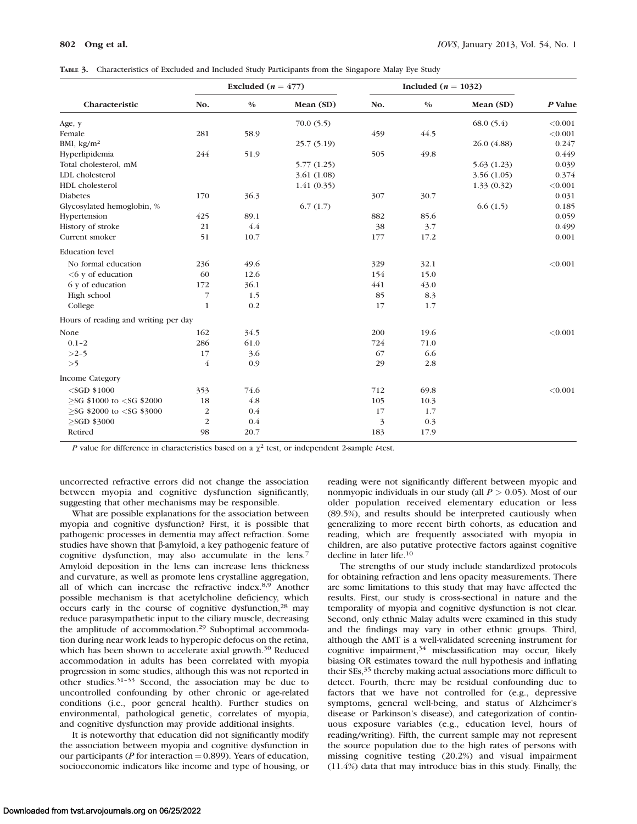|  | TABLE 3. Characteristics of Excluded and Included Study Participants from the Singapore Malay Eye Study |  |  |  |  |
|--|---------------------------------------------------------------------------------------------------------|--|--|--|--|
|--|---------------------------------------------------------------------------------------------------------|--|--|--|--|

|                                                                                                                                                          | Excluded ( $n = 477$ ) |       |             | Included ( $n = 1032$ ) |       |             |           |
|----------------------------------------------------------------------------------------------------------------------------------------------------------|------------------------|-------|-------------|-------------------------|-------|-------------|-----------|
| Characteristic                                                                                                                                           | No.                    | $0/0$ | Mean (SD)   | No.                     | $0/0$ | Mean (SD)   | $P$ Value |
| Age, y                                                                                                                                                   |                        |       | 70.0(5.5)   |                         |       | 68.0(5.4)   | < 0.001   |
| Female                                                                                                                                                   | 281                    | 58.9  |             | 459                     | 44.5  |             | < 0.001   |
| BMI, $\text{kg/m}^2$                                                                                                                                     |                        |       | 25.7(5.19)  |                         |       | 26.0 (4.88) | 0.247     |
| Hyperlipidemia                                                                                                                                           | 244                    | 51.9  |             | 505                     | 49.8  |             | 0.449     |
| Total cholesterol, mM                                                                                                                                    |                        |       | 5.77(1.25)  |                         |       | 5.63(1.23)  | 0.039     |
| LDL cholesterol                                                                                                                                          |                        |       | 3.61 (1.08) |                         |       | 3.56(1.05)  | 0.374     |
| HDL cholesterol                                                                                                                                          |                        |       | 1.41(0.35)  |                         |       | 1.33(0.32)  | < 0.001   |
| <b>Diabetes</b>                                                                                                                                          | 170                    | 36.3  |             | 307                     | 30.7  |             | 0.031     |
| Glycosylated hemoglobin, %                                                                                                                               |                        |       | 6.7(1.7)    |                         |       | 6.6(1.5)    | 0.185     |
| Hypertension                                                                                                                                             | 425                    | 89.1  |             | 882                     | 85.6  |             | 0.059     |
| History of stroke                                                                                                                                        | 21                     | 4.4   |             | 38                      | 3.7   |             | 0.499     |
| Current smoker                                                                                                                                           | 51                     | 10.7  |             | 177                     | 17.2  |             | 0.001     |
| <b>Education</b> level                                                                                                                                   |                        |       |             |                         |       |             |           |
| No formal education                                                                                                                                      | 236                    | 49.6  |             | 329                     | 32.1  |             | < 0.001   |
| $< 6$ y of education                                                                                                                                     | 60                     | 12.6  |             | 154                     | 15.0  |             |           |
| 6 y of education                                                                                                                                         | 172                    | 36.1  |             | 441                     | 43.0  |             |           |
| High school                                                                                                                                              | 7                      | 1.5   |             | 85                      | 8.3   |             |           |
| College                                                                                                                                                  | $\mathbf{1}$           | 0.2   |             | 17                      | 1.7   |             |           |
| Hours of reading and writing per day                                                                                                                     |                        |       |             |                         |       |             |           |
| None                                                                                                                                                     | 162                    | 34.5  |             | 200                     | 19.6  |             | < 0.001   |
| $0.1 - 2$                                                                                                                                                | 286                    | 61.0  |             | 724                     | 71.0  |             |           |
| $>2-5$                                                                                                                                                   | 17                     | 3.6   |             | 67                      | 6.6   |             |           |
| >5                                                                                                                                                       | $\overline{4}$         | 0.9   |             | 29                      | 2.8   |             |           |
| Income Category                                                                                                                                          |                        |       |             |                         |       |             |           |
| $<$ SGD \$1000                                                                                                                                           | 353                    | 74.6  |             | 712                     | 69.8  |             | < 0.001   |
| $>$ SG \$1000 to $<$ SG \$2000                                                                                                                           | 18                     | 4.8   |             | 105                     | 10.3  |             |           |
| $>$ SG \$2000 to <sg \$3000<="" td=""><td><math display="inline">\sqrt{2}</math></td><td>0.4</td><td></td><td>17</td><td>1.7</td><td></td><td></td></sg> | $\sqrt{2}$             | 0.4   |             | 17                      | 1.7   |             |           |
| $>$ SGD \$3000                                                                                                                                           | 2                      | 0.4   |             | 3                       | 0.3   |             |           |
| Retired                                                                                                                                                  | 98                     | 20.7  |             | 183                     | 17.9  |             |           |

P value for difference in characteristics based on a  $\chi^2$  test, or independent 2-sample t-test.

uncorrected refractive errors did not change the association between myopia and cognitive dysfunction significantly, suggesting that other mechanisms may be responsible.

What are possible explanations for the association between myopia and cognitive dysfunction? First, it is possible that pathogenic processes in dementia may affect refraction. Some studies have shown that  $\beta$ -amyloid, a key pathogenic feature of cognitive dysfunction, may also accumulate in the lens.<sup>7</sup> Amyloid deposition in the lens can increase lens thickness and curvature, as well as promote lens crystalline aggregation, all of which can increase the refractive index.<sup>8,9</sup> Another possible mechanism is that acetylcholine deficiency, which occurs early in the course of cognitive dysfunction,<sup>28</sup> may reduce parasympathetic input to the ciliary muscle, decreasing the amplitude of accommodation.<sup>29</sup> Suboptimal accommodation during near work leads to hyperopic defocus on the retina, which has been shown to accelerate axial growth.<sup>30</sup> Reduced accommodation in adults has been correlated with myopia progression in some studies, although this was not reported in other studies.31–33 Second, the association may be due to uncontrolled confounding by other chronic or age-related conditions (i.e., poor general health). Further studies on environmental, pathological genetic, correlates of myopia, and cognitive dysfunction may provide additional insights.

It is noteworthy that education did not significantly modify the association between myopia and cognitive dysfunction in our participants ( $P$  for interaction = 0.899). Years of education, socioeconomic indicators like income and type of housing, or reading were not significantly different between myopic and nonmyopic individuals in our study (all  $P > 0.05$ ). Most of our older population received elementary education or less (89.5%), and results should be interpreted cautiously when generalizing to more recent birth cohorts, as education and reading, which are frequently associated with myopia in children, are also putative protective factors against cognitive decline in later life.10

The strengths of our study include standardized protocols for obtaining refraction and lens opacity measurements. There are some limitations to this study that may have affected the results. First, our study is cross-sectional in nature and the temporality of myopia and cognitive dysfunction is not clear. Second, only ethnic Malay adults were examined in this study and the findings may vary in other ethnic groups. Third, although the AMT is a well-validated screening instrument for cognitive impairment, $34$  misclassification may occur, likely biasing OR estimates toward the null hypothesis and inflating their SEs,<sup>35</sup> thereby making actual associations more difficult to detect. Fourth, there may be residual confounding due to factors that we have not controlled for (e.g., depressive symptoms, general well-being, and status of Alzheimer's disease or Parkinson's disease), and categorization of continuous exposure variables (e.g., education level, hours of reading/writing). Fifth, the current sample may not represent the source population due to the high rates of persons with missing cognitive testing (20.2%) and visual impairment (11.4%) data that may introduce bias in this study. Finally, the